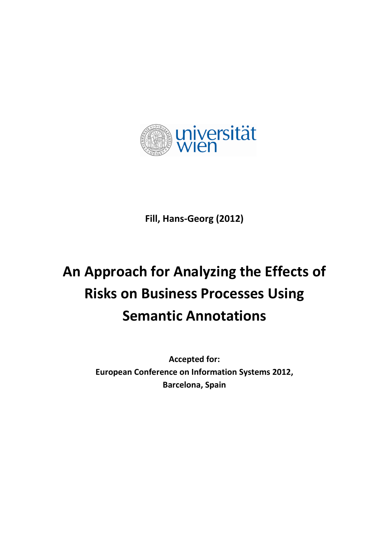

**Fill, Hans-Georg (2012)**

# **An Approach for Analyzing the Effects of Risks on Business Processes Using Semantic Annotations**

**Accepted for: European Conference on Information Systems 2012, Barcelona, Spain**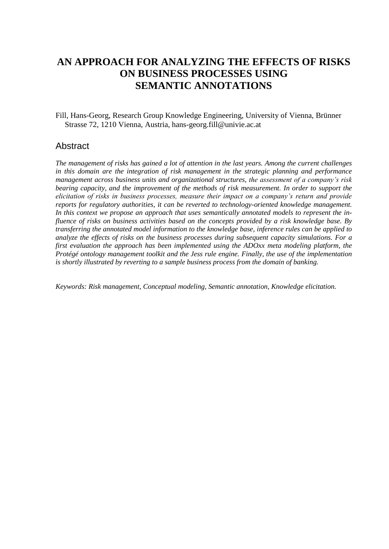## **AN APPROACH FOR ANALYZING THE EFFECTS OF RISKS ON BUSINESS PROCESSES USING SEMANTIC ANNOTATIONS**

Fill, Hans-Georg, Research Group Knowledge Engineering, University of Vienna, Brünner Strasse 72, 1210 Vienna, Austria, hans-georg.fill@univie.ac.at

#### Abstract

*The management of risks has gained a lot of attention in the last years. Among the current challenges in this domain are the integration of risk management in the strategic planning and performance management across business units and organizational structures, the assessment of a company's risk bearing capacity, and the improvement of the methods of risk measurement. In order to support the elicitation of risks in business processes, measure their impact on a company's return and provide reports for regulatory authorities, it can be reverted to technology-oriented knowledge management. In this context we propose an approach that uses semantically annotated models to represent the influence of risks on business activities based on the concepts provided by a risk knowledge base. By transferring the annotated model information to the knowledge base, inference rules can be applied to analyze the effects of risks on the business processes during subsequent capacity simulations. For a first evaluation the approach has been implemented using the ADOxx meta modeling platform, the Protégé ontology management toolkit and the Jess rule engine. Finally, the use of the implementation is shortly illustrated by reverting to a sample business process from the domain of banking.*

*Keywords: Risk management, Conceptual modeling, Semantic annotation, Knowledge elicitation.*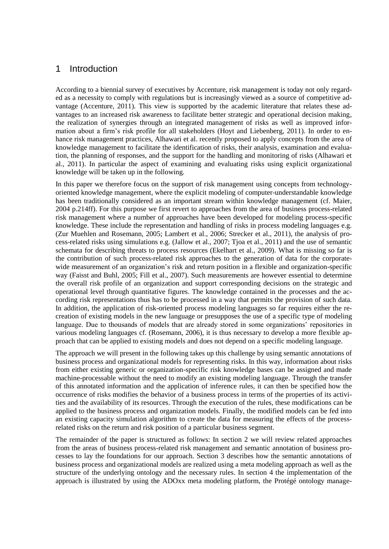#### 1 Introduction

According to a biennial survey of executives by Accenture, risk management is today not only regarded as a necessity to comply with regulations but is increasingly viewed as a source of competitive advantage (Accenture, 2011). This view is supported by the academic literature that relates these advantages to an increased risk awareness to facilitate better strategic and operational decision making, the realization of synergies through an integrated management of risks as well as improved information about a firm's risk profile for all stakeholders (Hoyt and Liebenberg, 2011). In order to enhance risk management practices, Alhawari et al. recently proposed to apply concepts from the area of knowledge management to facilitate the identification of risks, their analysis, examination and evaluation, the planning of responses, and the support for the handling and monitoring of risks (Alhawari et al., 2011). In particular the aspect of examining and evaluating risks using explicit organizational knowledge will be taken up in the following.

In this paper we therefore focus on the support of risk management using concepts from technologyoriented knowledge management, where the explicit modeling of computer-understandable knowledge has been traditionally considered as an important stream within knowledge management (cf. Maier, 2004 p.214ff). For this purpose we first revert to approaches from the area of business process-related risk management where a number of approaches have been developed for modeling process-specific knowledge. These include the representation and handling of risks in process modeling languages e.g. (Zur Muehlen and Rosemann, 2005; Lambert et al., 2006; Strecker et al., 2011), the analysis of process-related risks using simulations e.g. (Jallow et al., 2007; Tjoa et al., 2011) and the use of semantic schemata for describing threats to process resources (Ekelhart et al., 2009). What is missing so far is the contribution of such process-related risk approaches to the generation of data for the corporatewide measurement of an organization's risk and return position in a flexible and organization-specific way (Faisst and Buhl, 2005; Fill et al., 2007). Such measurements are however essential to determine the overall risk profile of an organization and support corresponding decisions on the strategic and operational level through quantitative figures. The knowledge contained in the processes and the according risk representations thus has to be processed in a way that permits the provision of such data. In addition, the application of risk-oriented process modeling languages so far requires either the recreation of existing models in the new language or presupposes the use of a specific type of modeling language. Due to thousands of models that are already stored in some organizations' repositories in various modeling languages cf. (Rosemann, 2006), it is thus necessary to develop a more flexible approach that can be applied to existing models and does not depend on a specific modeling language.

The approach we will present in the following takes up this challenge by using semantic annotations of business process and organizational models for representing risks. In this way, information about risks from either existing generic or organization-specific risk knowledge bases can be assigned and made machine-processable without the need to modify an existing modeling language. Through the transfer of this annotated information and the application of inference rules, it can then be specified how the occurrence of risks modifies the behavior of a business process in terms of the properties of its activities and the availability of its resources. Through the execution of the rules, these modifications can be applied to the business process and organization models. Finally, the modified models can be fed into an existing capacity simulation algorithm to create the data for measuring the effects of the processrelated risks on the return and risk position of a particular business segment.

The remainder of the paper is structured as follows: In section 2 we will review related approaches from the areas of business process-related risk management and semantic annotation of business processes to lay the foundations for our approach. Section 3 describes how the semantic annotations of business process and organizational models are realized using a meta modeling approach as well as the structure of the underlying ontology and the necessary rules. In section 4 the implementation of the approach is illustrated by using the ADOxx meta modeling platform, the Protégé ontology manage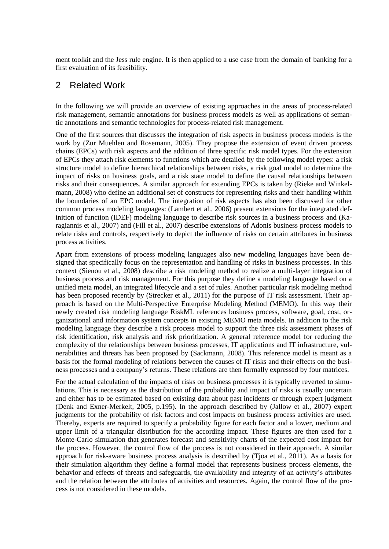ment toolkit and the Jess rule engine. It is then applied to a use case from the domain of banking for a first evaluation of its feasibility.

### 2 Related Work

In the following we will provide an overview of existing approaches in the areas of process-related risk management, semantic annotations for business process models as well as applications of semantic annotations and semantic technologies for process-related risk management.

One of the first sources that discusses the integration of risk aspects in business process models is the work by (Zur Muehlen and Rosemann, 2005). They propose the extension of event driven process chains (EPCs) with risk aspects and the addition of three specific risk model types. For the extension of EPCs they attach risk elements to functions which are detailed by the following model types: a risk structure model to define hierarchical relationships between risks, a risk goal model to determine the impact of risks on business goals, and a risk state model to define the causal relationships between risks and their consequences. A similar approach for extending EPCs is taken by (Rieke and Winkelmann, 2008) who define an additional set of constructs for representing risks and their handling within the boundaries of an EPC model. The integration of risk aspects has also been discussed for other common process modeling languages: (Lambert et al., 2006) present extensions for the integrated definition of function (IDEF) modeling language to describe risk sources in a business process and (Karagiannis et al., 2007) and (Fill et al., 2007) describe extensions of Adonis business process models to relate risks and controls, respectively to depict the influence of risks on certain attributes in business process activities.

Apart from extensions of process modeling languages also new modeling languages have been designed that specifically focus on the representation and handling of risks in business processes. In this context (Sienou et al., 2008) describe a risk modeling method to realize a multi-layer integration of business process and risk management. For this purpose they define a modeling language based on a unified meta model, an integrated lifecycle and a set of rules. Another particular risk modeling method has been proposed recently by (Strecker et al., 2011) for the purpose of IT risk assessment. Their approach is based on the Multi-Perspective Enterprise Modeling Method (MEMO). In this way their newly created risk modeling language RiskML references business process, software, goal, cost, organizational and information system concepts in existing MEMO meta models. In addition to the risk modeling language they describe a risk process model to support the three risk assessment phases of risk identification, risk analysis and risk prioritization. A general reference model for reducing the complexity of the relationships between business processes, IT applications and IT infrastructure, vulnerabilities and threats has been proposed by (Sackmann, 2008). This reference model is meant as a basis for the formal modeling of relations between the causes of IT risks and their effects on the business processes and a company's returns. These relations are then formally expressed by four matrices.

For the actual calculation of the impacts of risks on business processes it is typically reverted to simulations. This is necessary as the distribution of the probability and impact of risks is usually uncertain and either has to be estimated based on existing data about past incidents or through expert judgment (Denk and Exner-Merkelt, 2005, p.195). In the approach described by (Jallow et al., 2007) expert judgments for the probability of risk factors and cost impacts on business process activities are used. Thereby, experts are required to specify a probability figure for each factor and a lower, medium and upper limit of a triangular distribution for the according impact. These figures are then used for a Monte-Carlo simulation that generates forecast and sensitivity charts of the expected cost impact for the process. However, the control flow of the process is not considered in their approach. A similar approach for risk-aware business process analysis is described by (Tjoa et al., 2011). As a basis for their simulation algorithm they define a formal model that represents business process elements, the behavior and effects of threats and safeguards, the availability and integrity of an activity's attributes and the relation between the attributes of activities and resources. Again, the control flow of the process is not considered in these models.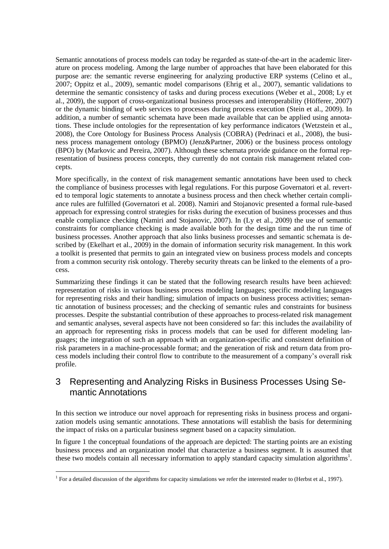Semantic annotations of process models can today be regarded as state-of-the-art in the academic literature on process modeling. Among the large number of approaches that have been elaborated for this purpose are: the semantic reverse engineering for analyzing productive ERP systems (Celino et al., 2007; Oppitz et al., 2009), semantic model comparisons (Ehrig et al., 2007), semantic validations to determine the semantic consistency of tasks and during process executions (Weber et al., 2008; Ly et al., 2009), the support of cross-organizational business processes and interoperability (Höfferer, 2007) or the dynamic binding of web services to processes during process execution (Stein et al., 2009). In addition, a number of semantic schemata have been made available that can be applied using annotations. These include ontologies for the representation of key performance indicators (Wetzstein et al., 2008), the Core Ontology for Business Process Analysis (COBRA) (Pedrinaci et al., 2008), the business process management ontology (BPMO) (Jenz&Partner, 2006) or the business process ontology (BPO) by (Markovic and Pereira, 2007). Although these schemata provide guidance on the formal representation of business process concepts, they currently do not contain risk management related concepts.

More specifically, in the context of risk management semantic annotations have been used to check the compliance of business processes with legal regulations. For this purpose Governatori et al. reverted to temporal logic statements to annotate a business process and then check whether certain compliance rules are fulfilled (Governatori et al. 2008). Namiri and Stojanovic presented a formal rule-based approach for expressing control strategies for risks during the execution of business processes and thus enable compliance checking (Namiri and Stojanovic, 2007). In (Ly et al., 2009) the use of semantic constraints for compliance checking is made available both for the design time and the run time of business processes. Another approach that also links business processes and semantic schemata is described by (Ekelhart et al., 2009) in the domain of information security risk management. In this work a toolkit is presented that permits to gain an integrated view on business process models and concepts from a common security risk ontology. Thereby security threats can be linked to the elements of a process.

Summarizing these findings it can be stated that the following research results have been achieved: representation of risks in various business process modeling languages; specific modeling languages for representing risks and their handling; simulation of impacts on business process activities; semantic annotation of business processes; and the checking of semantic rules and constraints for business processes. Despite the substantial contribution of these approaches to process-related risk management and semantic analyses, several aspects have not been considered so far: this includes the availability of an approach for representing risks in process models that can be used for different modeling languages; the integration of such an approach with an organization-specific and consistent definition of risk parameters in a machine-processable format; and the generation of risk and return data from process models including their control flow to contribute to the measurement of a company's overall risk profile.

## 3 Representing and Analyzing Risks in Business Processes Using Semantic Annotations

In this section we introduce our novel approach for representing risks in business process and organization models using semantic annotations. These annotations will establish the basis for determining the impact of risks on a particular business segment based on a capacity simulation.

In figure 1 the conceptual foundations of the approach are depicted: The starting points are an existing business process and an organization model that characterize a business segment. It is assumed that these two models contain all necessary information to apply standard capacity simulation algorithms<sup>1</sup>.

 $\overline{a}$ 

<sup>&</sup>lt;sup>1</sup> For a detailed discussion of the algorithms for capacity simulations we refer the interested reader to (Herbst et al., 1997).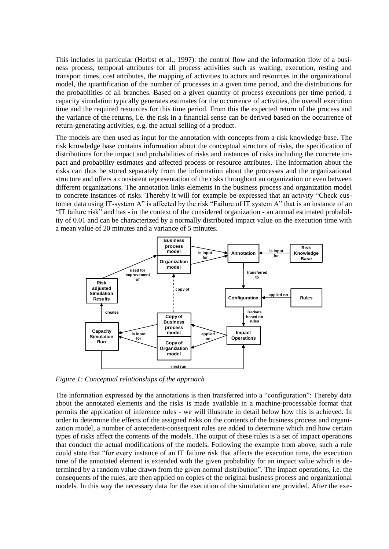This includes in particular (Herbst et al., 1997): the control flow and the information flow of a business process, temporal attributes for all process activities such as waiting, execution, resting and transport times, cost attributes, the mapping of activities to actors and resources in the organizational model, the quantification of the number of processes in a given time period, and the distributions for the probabilities of all branches. Based on a given quantity of process executions per time period, a capacity simulation typically generates estimates for the occurrence of activities, the overall execution time and the required resources for this time period. From this the expected return of the process and the variance of the returns, i.e. the risk in a financial sense can be derived based on the occurrence of return-generating activities, e.g. the actual selling of a product.

The models are then used as input for the annotation with concepts from a risk knowledge base. The risk knowledge base contains information about the conceptual structure of risks, the specification of distributions for the impact and probabilities of risks and instances of risks including the concrete impact and probability estimates and affected process or resource attributes. The information about the risks can thus be stored separately from the information about the processes and the organizational structure and offers a consistent representation of the risks throughout an organization or even between different organizations. The annotation links elements in the business process and organization model to concrete instances of risks. Thereby it will for example be expressed that an activity "Check customer data using IT-system A" is affected by the risk "Failure of IT system A" that is an instance of an "IT failure risk" and has - in the context of the considered organization - an annual estimated probability of 0.01 and can be characterized by a normally distributed impact value on the execution time with a mean value of 20 minutes and a variance of 5 minutes.



*Figure 1: Conceptual relationships of the approach*

The information expressed by the annotations is then transferred into a "configuration": Thereby data about the annotated elements and the risks is made available in a machine-processable format that permits the application of inference rules - we will illustrate in detail below how this is achieved. In order to determine the effects of the assigned risks on the contents of the business process and organization model, a number of antecedent-consequent rules are added to determine which and how certain types of risks affect the contents of the models. The output of these rules is a set of impact operations that conduct the actual modifications of the models. Following the example from above, such a rule could state that "for every instance of an IT failure risk that affects the execution time, the execution time of the annotated element is extended with the given probability for an impact value which is determined by a random value drawn from the given normal distribution". The impact operations, i.e. the consequents of the rules, are then applied on copies of the original business process and organizational models. In this way the necessary data for the execution of the simulation are provided. After the exe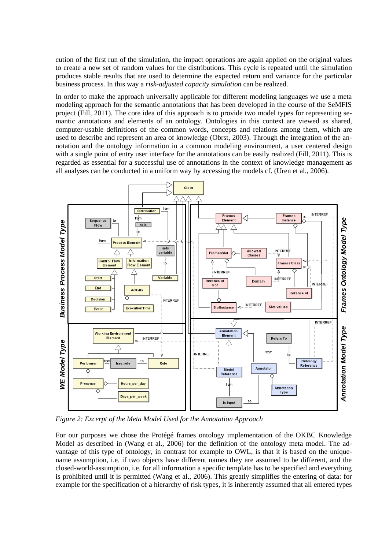cution of the first run of the simulation, the impact operations are again applied on the original values to create a new set of random values for the distributions. This cycle is repeated until the simulation produces stable results that are used to determine the expected return and variance for the particular business process. In this way a *risk-adjusted capacity simulation* can be realized.

In order to make the approach universally applicable for different modeling languages we use a meta modeling approach for the semantic annotations that has been developed in the course of the SeMFIS project (Fill, 2011). The core idea of this approach is to provide two model types for representing semantic annotations and elements of an ontology. Ontologies in this context are viewed as shared, computer-usable definitions of the common words, concepts and relations among them, which are used to describe and represent an area of knowledge (Obrst, 2003). Through the integration of the annotation and the ontology information in a common modeling environment, a user centered design with a single point of entry user interface for the annotations can be easily realized (Fill, 2011). This is regarded as essential for a successful use of annotations in the context of knowledge management as all analyses can be conducted in a uniform way by accessing the models cf. (Uren et al., 2006).



*Figure 2: Excerpt of the Meta Model Used for the Annotation Approach*

For our purposes we chose the Protégé frames ontology implementation of the OKBC Knowledge Model as described in (Wang et al., 2006) for the definition of the ontology meta model. The advantage of this type of ontology, in contrast for example to OWL, is that it is based on the uniquename assumption, i.e. if two objects have different names they are assumed to be different, and the closed-world-assumption, i.e. for all information a specific template has to be specified and everything is prohibited until it is permitted (Wang et al., 2006). This greatly simplifies the entering of data: for example for the specification of a hierarchy of risk types, it is inherently assumed that all entered types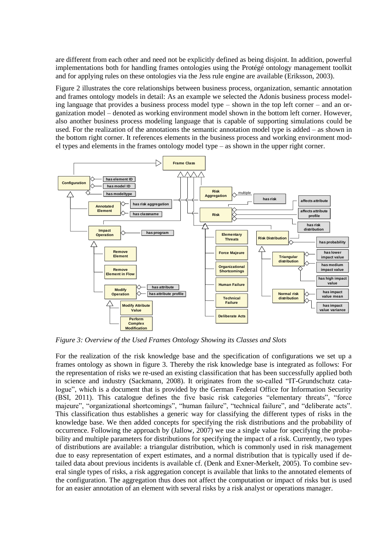are different from each other and need not be explicitly defined as being disjoint. In addition, powerful implementations both for handling frames ontologies using the Protégé ontology management toolkit and for applying rules on these ontologies via the Jess rule engine are available (Eriksson, 2003).

Figure 2 illustrates the core relationships between business process, organization, semantic annotation and frames ontology models in detail: As an example we selected the Adonis business process modeling language that provides a business process model type – shown in the top left corner – and an organization model – denoted as working environment model shown in the bottom left corner. However, also another business process modeling language that is capable of supporting simulations could be used. For the realization of the annotations the semantic annotation model type is added – as shown in the bottom right corner. It references elements in the business process and working environment model types and elements in the frames ontology model type – as shown in the upper right corner.



*Figure 3: Overview of the Used Frames Ontology Showing its Classes and Slots*

For the realization of the risk knowledge base and the specification of configurations we set up a frames ontology as shown in figure 3. Thereby the risk knowledge base is integrated as follows: For the representation of risks we re-used an existing classification that has been successfully applied both in science and industry (Sackmann, 2008). It originates from the so-called "IT-Grundschutz catalogue", which is a document that is provided by the German Federal Office for Information Security (BSI, 2011). This catalogue defines the five basic risk categories "elementary threats", "force majeure", "organizational shortcomings", "human failure", "technical failure", and "deliberate acts". This classification thus establishes a generic way for classifying the different types of risks in the knowledge base. We then added concepts for specifying the risk distributions and the probability of occurrence. Following the approach by (Jallow, 2007) we use a single value for specifying the probability and multiple parameters for distributions for specifying the impact of a risk. Currently, two types of distributions are available: a triangular distribution, which is commonly used in risk management due to easy representation of expert estimates, and a normal distribution that is typically used if detailed data about previous incidents is available cf. (Denk and Exner-Merkelt, 2005). To combine several single types of risks, a risk aggregation concept is available that links to the annotated elements of the configuration. The aggregation thus does not affect the computation or impact of risks but is used for an easier annotation of an element with several risks by a risk analyst or operations manager.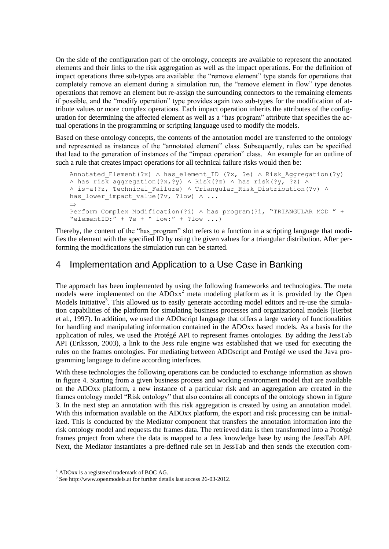On the side of the configuration part of the ontology, concepts are available to represent the annotated elements and their links to the risk aggregation as well as the impact operations. For the definition of impact operations three sub-types are available: the "remove element" type stands for operations that completely remove an element during a simulation run, the "remove element in flow" type denotes operations that remove an element but re-assign the surrounding connectors to the remaining elements if possible, and the "modify operation" type provides again two sub-types for the modification of attribute values or more complex operations. Each impact operation inherits the attributes of the configuration for determining the affected element as well as a "has program" attribute that specifies the actual operations in the programming or scripting language used to modify the models.

Based on these ontology concepts, the contents of the annotation model are transferred to the ontology and represented as instances of the "annotated element" class. Subsequently, rules can be specified that lead to the generation of instances of the "impact operation" class. An example for an outline of such a rule that creates impact operations for all technical failure risks would then be:

```
Annotated Element(?x) \land has element ID (?x, ?e) \land Risk Aggregation(?y)
\land has risk aggregation(?x,?y) \land Risk(?z) \land has risk(?y, ?z) \land∧ is-a(?z, Technical Failure) ∧ Triangular Risk Distribution(?v) ∧
has lower impact value(?v, ?low) \land ...
\RightarrowPerform Complex Modification(?i) \land has program(?i, "TRIANGULAR MOD " +
"elementID:" + \overline{?}e + " low:" + \overline{?}low...
```
Thereby, the content of the "has program" slot refers to a function in a scripting language that modifies the element with the specified ID by using the given values for a triangular distribution. After performing the modifications the simulation run can be started.

## 4 Implementation and Application to a Use Case in Banking

The approach has been implemented by using the following frameworks and technologies. The meta models were implemented on the  $ADOxx^2$  meta modeling platform as it is provided by the Open Models Initiative<sup>3</sup>. This allowed us to easily generate according model editors and re-use the simulation capabilities of the platform for simulating business processes and organizational models (Herbst et al., 1997). In addition, we used the ADOscript language that offers a large variety of functionalities for handling and manipulating information contained in the ADOxx based models. As a basis for the application of rules, we used the Protégé API to represent frames ontologies. By adding the JessTab API (Eriksson, 2003), a link to the Jess rule engine was established that we used for executing the rules on the frames ontologies. For mediating between ADOscript and Protégé we used the Java programming language to define according interfaces.

With these technologies the following operations can be conducted to exchange information as shown in figure 4. Starting from a given business process and working environment model that are available on the ADOxx platform, a new instance of a particular risk and an aggregation are created in the frames ontology model "Risk ontology" that also contains all concepts of the ontology shown in figure 3. In the next step an annotation with this risk aggregation is created by using an annotation model. With this information available on the ADOxx platform, the export and risk processing can be initialized. This is conducted by the Mediator component that transfers the annotation information into the risk ontology model and requests the frames data. The retrieved data is then transformed into a Protégé frames project from where the data is mapped to a Jess knowledge base by using the JessTab API. Next, the Mediator instantiates a pre-defined rule set in JessTab and then sends the execution com-

 $\overline{a}$ 

 $^{2}$  ADOxx is a registered trademark of BOC AG.

<sup>&</sup>lt;sup>3</sup> See http://www.openmodels.at for further details last access 26-03-2012.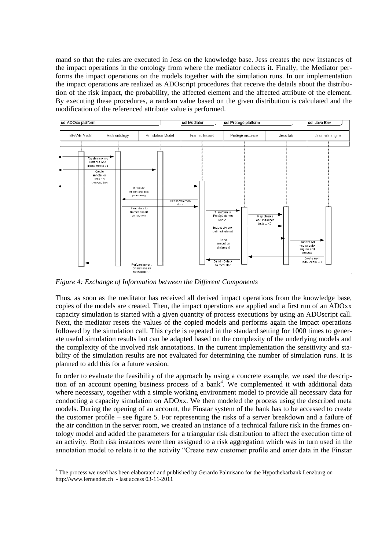mand so that the rules are executed in Jess on the knowledge base. Jess creates the new instances of the impact operations in the ontology from where the mediator collects it. Finally, the Mediator performs the impact operations on the models together with the simulation runs. In our implementation the impact operations are realized as ADOscript procedures that receive the details about the distribution of the risk impact, the probability, the affected element and the affected attribute of the element. By executing these procedures, a random value based on the given distribution is calculated and the modification of the referenced attribute value is performed.



*Figure 4: Exchange of Information between the Different Components*

 $\overline{a}$ 

Thus, as soon as the meditator has received all derived impact operations from the knowledge base, copies of the models are created. Then, the impact operations are applied and a first run of an ADOxx capacity simulation is started with a given quantity of process executions by using an ADOscript call. Next, the mediator resets the values of the copied models and performs again the impact operations followed by the simulation call. This cycle is repeated in the standard setting for 1000 times to generate useful simulation results but can be adapted based on the complexity of the underlying models and the complexity of the involved risk annotations. In the current implementation the sensitivity and stability of the simulation results are not evaluated for determining the number of simulation runs. It is planned to add this for a future version.

In order to evaluate the feasibility of the approach by using a concrete example, we used the description of an account opening business process of a bank<sup>4</sup>. We complemented it with additional data where necessary, together with a simple working environment model to provide all necessary data for conducting a capacity simulation on ADOxx. We then modeled the process using the described meta models. During the opening of an account, the Finstar system of the bank has to be accessed to create the customer profile – see figure 5. For representing the risks of a server breakdown and a failure of the air condition in the server room, we created an instance of a technical failure risk in the frames ontology model and added the parameters for a triangular risk distribution to affect the execution time of an activity. Both risk instances were then assigned to a risk aggregation which was in turn used in the annotation model to relate it to the activity "Create new customer profile and enter data in the Finstar

<sup>&</sup>lt;sup>4</sup> The process we used has been elaborated and published by Gerardo Palmisano for the Hypothekarbank Lenzburg on http://www.lernender.ch - last access 03-11-2011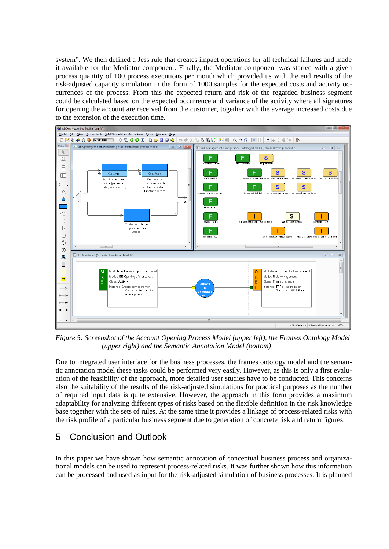system". We then defined a Jess rule that creates impact operations for all technical failures and made it available for the Mediator component. Finally, the Mediator component was started with a given process quantity of 100 process executions per month which provided us with the end results of the risk-adjusted capacity simulation in the form of 1000 samples for the expected costs and activity occurrences of the process. From this the expected return and risk of the regarded business segment could be calculated based on the expected occurrence and variance of the activity where all signatures for opening the account are received from the customer, together with the average increased costs due to the extension of the execution time.



*Figure 5: Screenshot of the Account Opening Process Model (upper left), the Frames Ontology Model (upper right) and the Semantic Annotation Model (bottom)*

Due to integrated user interface for the business processes, the frames ontology model and the semantic annotation model these tasks could be performed very easily. However, as this is only a first evaluation of the feasibility of the approach, more detailed user studies have to be conducted. This concerns also the suitability of the results of the risk-adjusted simulations for practical purposes as the number of required input data is quite extensive. However, the approach in this form provides a maximum adaptability for analyzing different types of risks based on the flexible definition in the risk knowledge base together with the sets of rules. At the same time it provides a linkage of process-related risks with the risk profile of a particular business segment due to generation of concrete risk and return figures.

## 5 Conclusion and Outlook

In this paper we have shown how semantic annotation of conceptual business process and organizational models can be used to represent process-related risks. It was further shown how this information can be processed and used as input for the risk-adjusted simulation of business processes. It is planned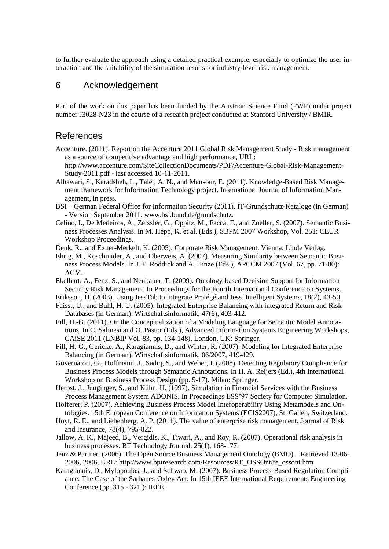to further evaluate the approach using a detailed practical example, especially to optimize the user interaction and the suitability of the simulation results for industry-level risk management.

#### 6 Acknowledgement

Part of the work on this paper has been funded by the Austrian Science Fund (FWF) under project number J3028-N23 in the course of a research project conducted at Stanford University / BMIR.

#### References

Accenture. (2011). Report on the Accenture 2011 Global Risk Management Study - Risk management as a source of competitive advantage and high performance, URL:

http://www.accenture.com/SiteCollectionDocuments/PDF/Accenture-Global-Risk-Management-Study-2011.pdf - last accessed 10-11-2011.

- Alhawari, S., Karadsheh, L., Talet, A. N., and Mansour, E. (2011). Knowledge-Based Risk Management framework for Information Technology project. International Journal of Information Management, in press.
- BSI German Federal Office for Information Security (2011). IT-Grundschutz-Kataloge (in German) - Version September 2011: www.bsi.bund.de/grundschutz.
- Celino, I., De Medeiros, A., Zeissler, G., Oppitz, M., Facca, F., and Zoeller, S. (2007). Semantic Business Processes Analysis. In M. Hepp, K. et al. (Eds.), SBPM 2007 Workshop, Vol. 251: CEUR Workshop Proceedings.
- Denk, R., and Exner-Merkelt, K. (2005). Corporate Risk Management. Vienna: Linde Verlag.
- Ehrig, M., Koschmider, A., and Oberweis, A. (2007). Measuring Similarity between Semantic Business Process Models. In J. F. Roddick and A. Hinze (Eds.), APCCM 2007 (Vol. 67, pp. 71-80): ACM.
- Ekelhart, A., Fenz, S., and Neubauer, T. (2009). Ontology-based Decision Support for Information Security Risk Management. In Proceedings for the Fourth International Conference on Systems.
- Eriksson, H. (2003). Using JessTab to Integrate Protégé and Jess. Intelligent Systems, 18(2), 43-50.
- Faisst, U., and Buhl, H. U. (2005). Integrated Enterprise Balancing with integrated Return and Risk Databases (in German). Wirtschaftsinformatik, 47(6), 403-412.
- Fill, H.-G. (2011). On the Conceptualization of a Modeling Language for Semantic Model Annotations. In C. Salinesi and O. Pastor (Eds.), Advanced Information Systems Engineering Workshops, CAiSE 2011 (LNBIP Vol. 83, pp. 134-148). London, UK: Springer.
- Fill, H.-G., Gericke, A., Karagiannis, D., and Winter, R. (2007). Modeling for Integrated Enterprise Balancing (in German). Wirtschaftsinformatik, 06/2007, 419-429.
- Governatori, G., Hoffmann, J., Sadiq, S., and Weber, I. (2008). Detecting Regulatory Compliance for Business Process Models through Semantic Annotations. In H. A. Reijers (Ed.), 4th International Workshop on Business Process Design (pp. 5-17). Milan: Springer.
- Herbst, J., Junginger, S., and Kühn, H. (1997). Simulation in Financial Services with the Business Process Management System ADONIS. In Proceedings ESS'97 Society for Computer Simulation.
- Höfferer, P. (2007). Achieving Business Process Model Interoperability Using Metamodels and Ontologies. 15th European Conference on Information Systems (ECIS2007), St. Gallen, Switzerland.
- Hoyt, R. E., and Liebenberg, A. P. (2011). The value of enterprise risk management. Journal of Risk and Insurance, 78(4), 795-822.
- Jallow, A. K., Majeed, B., Vergidis, K., Tiwari, A., and Roy, R. (2007). Operational risk analysis in business processes. BT Technology Journal, 25(1), 168-177.
- Jenz & Partner. (2006). The Open Source Business Management Ontology (BMO). Retrieved 13-06- 2006, 2006, URL: http://www.bpiresearch.com/Resources/RE\_OSSOnt/re\_ossont.htm
- Karagiannis, D., Mylopoulos, J., and Schwab, M. (2007). Business Process-Based Regulation Compliance: The Case of the Sarbanes-Oxley Act. In 15th IEEE International Requirements Engineering Conference (pp. 315 - 321 ): IEEE.